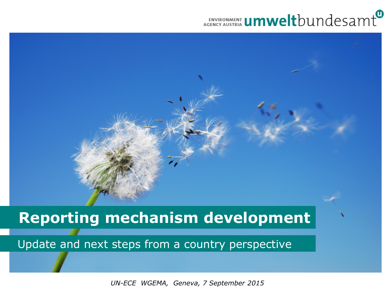#### **ENVIRONMENT UMWelt**bundesamt



#### **Reporting mechanism development**

Update and next steps from a country perspective

*UN-ECE WGEMA, Geneva, 7 September 2015*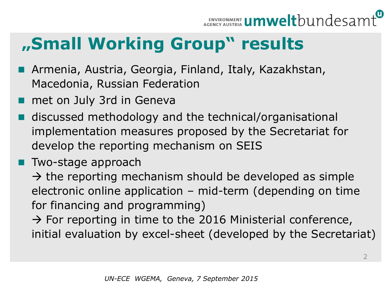

#### **"Small Working Group" results**

- Armenia, Austria, Georgia, Finland, Italy, Kazakhstan, Macedonia, Russian Federation
- met on July 3rd in Geneva
- discussed methodology and the technical/organisational implementation measures proposed by the Secretariat for develop the reporting mechanism on SEIS
- **Two-stage approach**

 $\rightarrow$  the reporting mechanism should be developed as simple electronic online application – mid-term (depending on time for financing and programming)

 $\rightarrow$  For reporting in time to the 2016 Ministerial conference, initial evaluation by excel-sheet (developed by the Secretariat)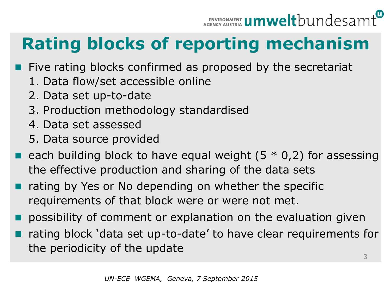# **Rating blocks of reporting mechanism**

- Five rating blocks confirmed as proposed by the secretariat
	- 1. Data flow/set accessible online
	- 2. Data set up-to-date
	- 3. Production methodology standardised
	- 4. Data set assessed
	- 5. Data source provided
- each building block to have equal weight  $(5 * 0,2)$  for assessing the effective production and sharing of the data sets
- $\blacksquare$  rating by Yes or No depending on whether the specific requirements of that block were or were not met.
- possibility of comment or explanation on the evaluation given
- rating block 'data set up-to-date' to have clear requirements for the periodicity of the update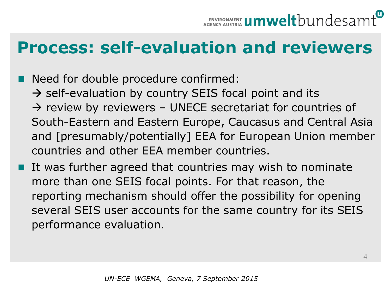

#### **Process: self-evaluation and reviewers**

- Need for double procedure confirmed:
	- $\rightarrow$  self-evaluation by country SEIS focal point and its
	- $\rightarrow$  review by reviewers UNECE secretariat for countries of South-Eastern and Eastern Europe, Caucasus and Central Asia and [presumably/potentially] EEA for European Union member countries and other EEA member countries.
- It was further agreed that countries may wish to nominate more than one SEIS focal points. For that reason, the reporting mechanism should offer the possibility for opening several SEIS user accounts for the same country for its SEIS performance evaluation.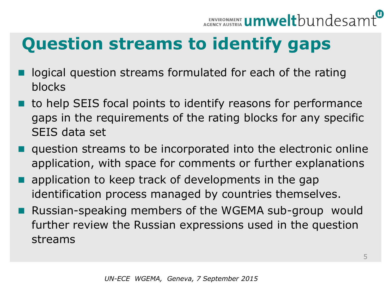# **Question streams to identify gaps**

- logical question streams formulated for each of the rating blocks
- **to help SEIS focal points to identify reasons for performance** gaps in the requirements of the rating blocks for any specific SEIS data set
- **question streams to be incorporated into the electronic online** application, with space for comments or further explanations
- application to keep track of developments in the gap identification process managed by countries themselves.
- Russian-speaking members of the WGEMA sub-group would further review the Russian expressions used in the question streams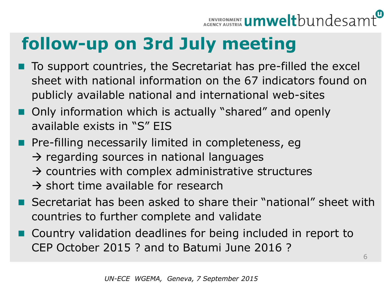

### **follow-up on 3rd July meeting**

- To support countries, the Secretariat has pre-filled the excel sheet with national information on the 67 indicators found on publicly available national and international web-sites
- Only information which is actually "shared" and openly available exists in "S" EIS
- **Pre-filling necessarily limited in completeness, egual**  $\rightarrow$  regarding sources in national languages  $\rightarrow$  countries with complex administrative structures  $\rightarrow$  short time available for research
- Secretariat has been asked to share their "national" sheet with countries to further complete and validate
- Country validation deadlines for being included in report to CEP October 2015 ? and to Batumi June 2016 ?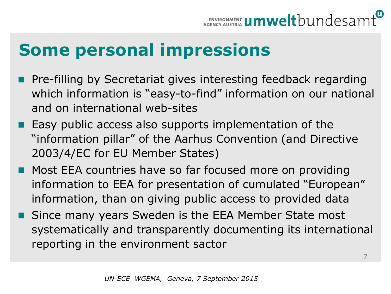#### **Some personal impressions**

- **Pre-filling by Secretariat gives interesting feedback regarding** which information is "easy-to-find" information on our national and on international web-sites
- **Easy public access also supports implementation of the** "information pillar" of the Aarhus Convention (and Directive 2003/4/EC for EU Member States)
- **Most EEA countries have so far focused more on providing** information to EEA for presentation of cumulated "European" information, than on giving public access to provided data
- Since many years Sweden is the EEA Member State most systematically and transparently documenting its international reporting in the environment sactor